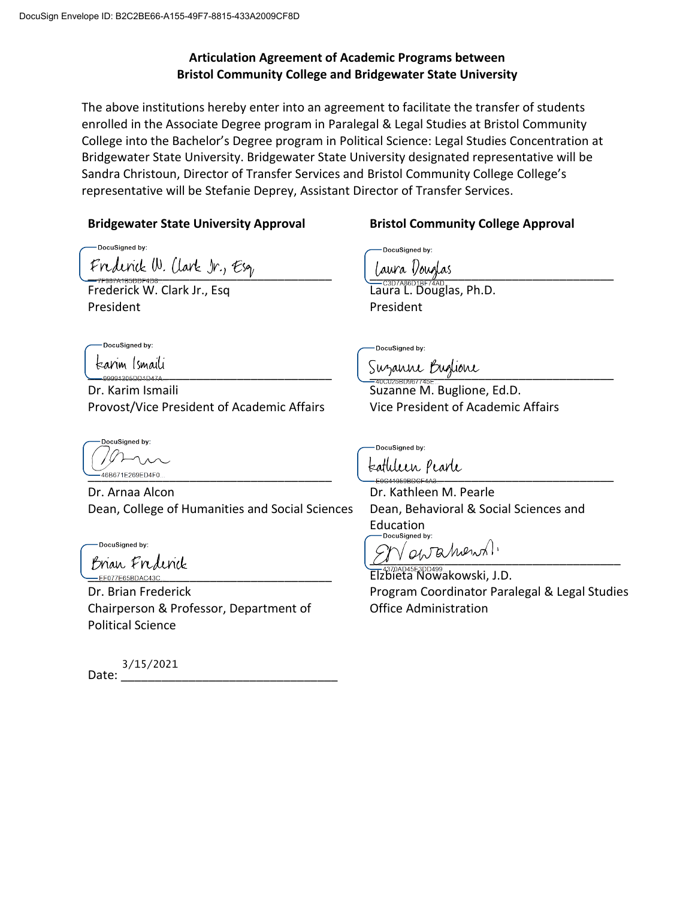# **Articulation Agreement of Academic Programs between Bristol Community College and Bridgewater State University**

The above institutions hereby enter into an agreement to facilitate the transfer of students enrolled in the Associate Degree program in Paralegal & Legal Studies at Bristol Community College into the Bachelor's Degree program in Political Science: Legal Studies Concentration at Bridgewater State University. Bridgewater State University designated representative will be Sandra Christoun, Director of Transfer Services and Bristol Community College College's representative will be Stefanie Deprey, Assistant Director of Transfer Services.

### **Bridgewater State University Approval Bristol Community College Approval**

DocuSianed by: Frederick W. Clark Jr., Esg, Julie Jaura Doug

Frederick W. Clark Jr., Esq President

DocuSianed by:

Dr. Karim Ismaili Provost/Vice President of Academic Affairs

**DocuSianed by:** 

Dr. Arnaa Alcon Dean, College of Humanities and Social Sciences

-DocuSigned by:

Brian Frederick

Dr. Brian Frederick Chairperson & Professor, Department of Political Science

Date: 3/15/2021

DocuSigned by:

Laura L. Douglas, Ph.D. President

DocuSigned by:

 $\frac{1}{2}$  Suzarne Buglione

Suzanne M. Buglione, Ed.D. Vice President of Academic Affairs

DocuSianed by:

\_\_\_\_\_\_\_\_\_\_\_\_\_\_\_\_\_\_\_\_\_\_\_\_\_\_\_\_\_\_\_\_\_\_\_\_ \_\_\_\_\_\_\_\_\_\_\_\_\_\_\_\_\_\_\_\_\_\_\_\_\_\_\_\_\_\_\_\_\_\_\_\_

Dr. Kathleen M. Pearle Dean, Behavioral & Social Sciences and Education<br> **Cocusioned by:** 

 $\sqrt{Q_V}$ a hvenst.

Elzbieta Nowakowski, J.D. Program Coordinator Paralegal & Legal Studies Office Administration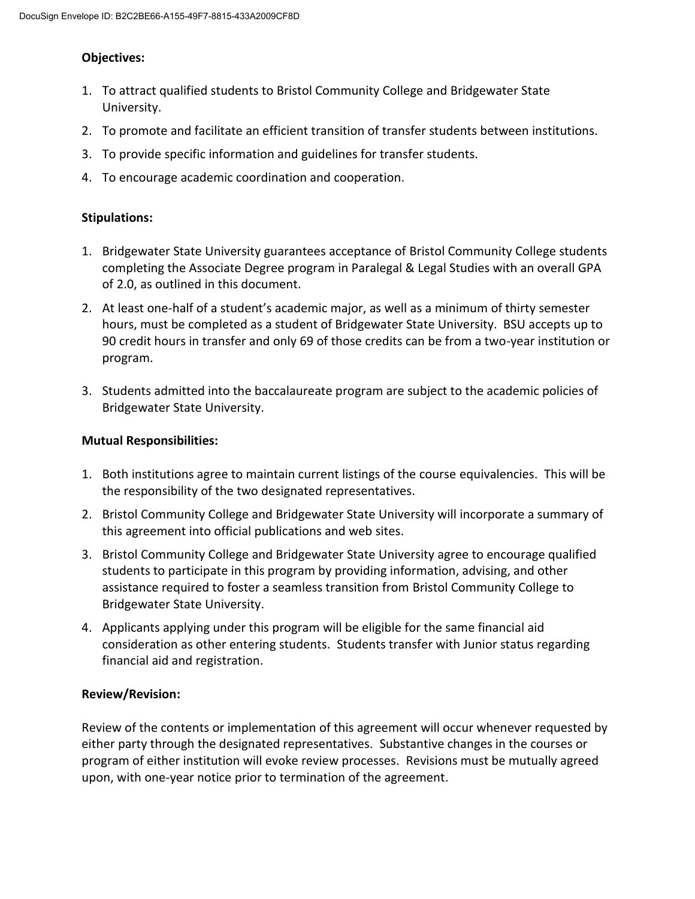### **Objectives:**

- 1. To attract qualified students to Bristol Community College and Bridgewater State University.
- 2. To promote and facilitate an efficient transition of transfer students between institutions.
- 3. To provide specific information and guidelines for transfer students.
- 4. To encourage academic coordination and cooperation.

### **Stipulations:**

- 1. Bridgewater State University guarantees acceptance of Bristol Community College students completing the Associate Degree program in Paralegal & Legal Studies with an overall GPA of 2.0, as outlined in this document.
- 2. At least one-half of a student's academic major, as well as a minimum of thirty semester hours, must be completed as a student of Bridgewater State University. BSU accepts up to 90 credit hours in transfer and only 69 of those credits can be from a two-year institution or program.
- 3. Students admitted into the baccalaureate program are subject to the academic policies of Bridgewater State University.

### **Mutual Responsibilities:**

- 1. Both institutions agree to maintain current listings of the course equivalencies. This will be the responsibility of the two designated representatives.
- 2. Bristol Community College and Bridgewater State University will incorporate a summary of this agreement into official publications and web sites.
- 3. Bristol Community College and Bridgewater State University agree to encourage qualified students to participate in this program by providing information, advising, and other assistance required to foster a seamless transition from Bristol Community College to Bridgewater State University.
- 4. Applicants applying under this program will be eligible for the same financial aid consideration as other entering students. Students transfer with Junior status regarding financial aid and registration.

### **Review/Revision:**

Review of the contents or implementation of this agreement will occur whenever requested by either party through the designated representatives. Substantive changes in the courses or program of either institution will evoke review processes. Revisions must be mutually agreed upon, with one-year notice prior to termination of the agreement.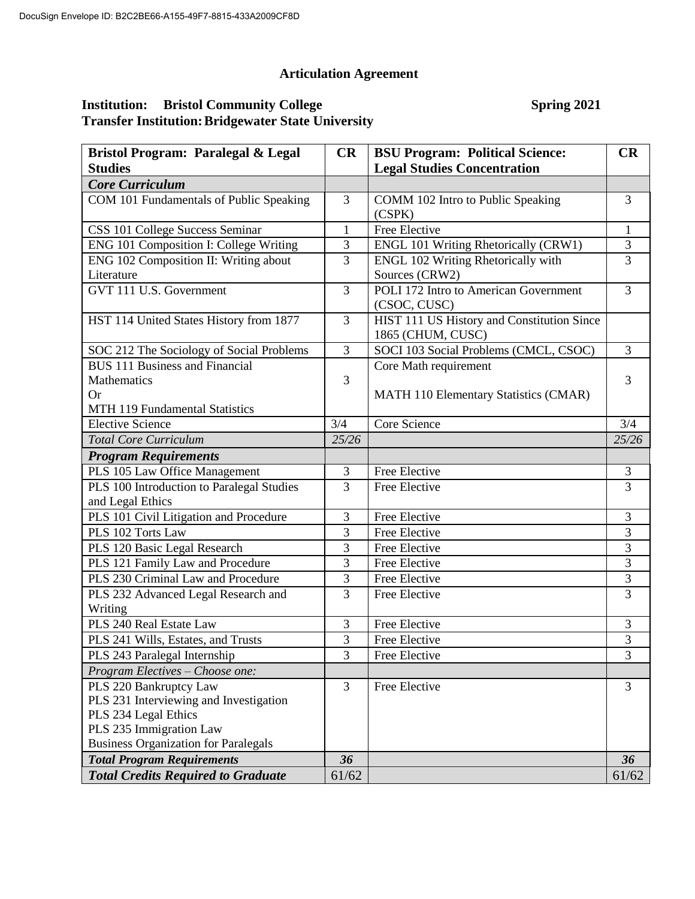# **Articulation Agreement**

### **Institution:** Bristol Community College Spring 2021 **Transfer Institution:Bridgewater State University**

| Bristol Program: Paralegal & Legal          | CR             | <b>BSU Program: Political Science:</b>                          | CR             |
|---------------------------------------------|----------------|-----------------------------------------------------------------|----------------|
| <b>Studies</b>                              |                | <b>Legal Studies Concentration</b>                              |                |
| <b>Core Curriculum</b>                      |                |                                                                 |                |
| COM 101 Fundamentals of Public Speaking     | 3              | COMM 102 Intro to Public Speaking<br>(CSPK)                     | 3              |
| CSS 101 College Success Seminar             | $\mathbf{1}$   | Free Elective                                                   | $\mathbf{1}$   |
| ENG 101 Composition I: College Writing      | 3              | <b>ENGL 101 Writing Rhetorically (CRW1)</b>                     | 3              |
| ENG 102 Composition II: Writing about       | 3              | ENGL 102 Writing Rhetorically with                              | $\overline{3}$ |
| Literature                                  |                | Sources (CRW2)                                                  |                |
| GVT 111 U.S. Government                     | $\overline{3}$ | POLI 172 Intro to American Government<br>(CSOC, CUSC)           | $\overline{3}$ |
| HST 114 United States History from 1877     | $\overline{3}$ | HIST 111 US History and Constitution Since<br>1865 (CHUM, CUSC) |                |
| SOC 212 The Sociology of Social Problems    | $\overline{3}$ | SOCI 103 Social Problems (CMCL, CSOC)                           | 3              |
| <b>BUS</b> 111 Business and Financial       |                | Core Math requirement                                           |                |
| Mathematics                                 | 3              |                                                                 | 3              |
| Оr                                          |                | <b>MATH 110 Elementary Statistics (CMAR)</b>                    |                |
| MTH 119 Fundamental Statistics              |                |                                                                 |                |
| <b>Elective Science</b>                     | 3/4            | Core Science                                                    | 3/4            |
| <b>Total Core Curriculum</b>                | 25/26          |                                                                 | 25/26          |
| <b>Program Requirements</b>                 |                |                                                                 |                |
| PLS 105 Law Office Management               | 3              | Free Elective                                                   | 3              |
| PLS 100 Introduction to Paralegal Studies   | $\overline{3}$ | Free Elective                                                   | $\overline{3}$ |
| and Legal Ethics                            |                |                                                                 |                |
| PLS 101 Civil Litigation and Procedure      | 3              | Free Elective                                                   | 3              |
| PLS 102 Torts Law                           | 3              | Free Elective                                                   | 3              |
| PLS 120 Basic Legal Research                | 3              | Free Elective                                                   | 3              |
| PLS 121 Family Law and Procedure            | $\overline{3}$ | Free Elective                                                   | $\overline{3}$ |
| PLS 230 Criminal Law and Procedure          | 3              | Free Elective                                                   | $\overline{3}$ |
| PLS 232 Advanced Legal Research and         | 3              | Free Elective                                                   | 3              |
| Writing                                     |                |                                                                 |                |
| PLS 240 Real Estate Law                     | 3              | Free Elective                                                   | 3              |
| PLS 241 Wills, Estates, and Trusts          | 3              | Free Elective                                                   | $\mathfrak{Z}$ |
| PLS 243 Paralegal Internship                | 3              | Free Elective                                                   | 3              |
| Program Electives - Choose one:             |                |                                                                 |                |
| PLS 220 Bankruptcy Law                      | $\overline{3}$ | Free Elective                                                   | 3              |
| PLS 231 Interviewing and Investigation      |                |                                                                 |                |
| PLS 234 Legal Ethics                        |                |                                                                 |                |
| PLS 235 Immigration Law                     |                |                                                                 |                |
| <b>Business Organization for Paralegals</b> | 36             |                                                                 | 36             |
| <b>Total Program Requirements</b>           |                |                                                                 |                |
| <b>Total Credits Required to Graduate</b>   | 61/62          |                                                                 | 61/62          |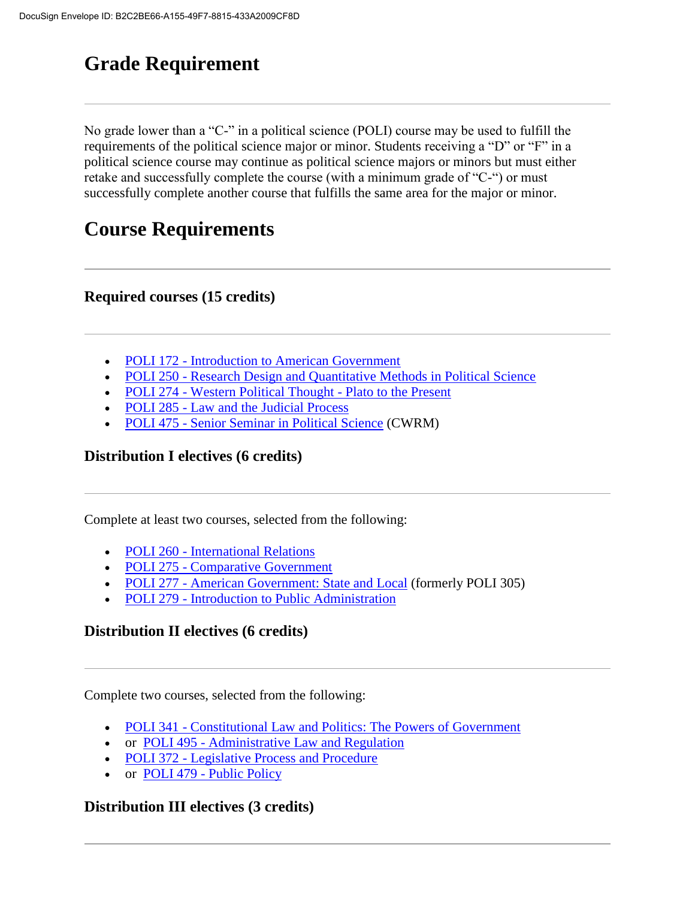# **Grade Requirement**

No grade lower than a "C-" in a political science (POLI) course may be used to fulfill the requirements of the political science major or minor. Students receiving a "D" or "F" in a political science course may continue as political science majors or minors but must either retake and successfully complete the course (with a minimum grade of "C-") or must successfully complete another course that fulfills the same area for the major or minor.

# **Course Requirements**

# **Required courses (15 credits)**

- POLI 172 [Introduction to American Government](https://catalog.bridgew.edu/preview_program.php?catoid=14&poid=4957)
- POLI 250 [Research Design and Quantitative Methods in Political Science](https://catalog.bridgew.edu/preview_program.php?catoid=14&poid=4957)
- POLI 274 [Western Political Thought -](https://catalog.bridgew.edu/preview_program.php?catoid=14&poid=4957) Plato to the Present
- POLI 285 [Law and the Judicial Process](https://catalog.bridgew.edu/preview_program.php?catoid=14&poid=4957)
- POLI 475 [Senior Seminar in Political Science](https://catalog.bridgew.edu/preview_program.php?catoid=14&poid=4957) (CWRM)

# **Distribution I electives (6 credits)**

Complete at least two courses, selected from the following:

- POLI 260 [International](https://catalog.bridgew.edu/preview_program.php?catoid=14&poid=4957) Relations
- POLI 275 [Comparative Government](https://catalog.bridgew.edu/preview_program.php?catoid=14&poid=4957)
- POLI 277 [American Government: State and Local](https://catalog.bridgew.edu/preview_program.php?catoid=14&poid=4957) (formerly POLI 305)
- POLI 279 [Introduction to Public Administration](https://catalog.bridgew.edu/preview_program.php?catoid=14&poid=4957)

# **Distribution II electives (6 credits)**

Complete two courses, selected from the following:

- POLI 341 [Constitutional Law and Politics: The Powers of Government](https://catalog.bridgew.edu/preview_program.php?catoid=14&poid=4957)
- or POLI 495 [Administrative Law and Regulation](https://catalog.bridgew.edu/preview_program.php?catoid=14&poid=4957)
- POLI 372 [Legislative Process and Procedure](https://catalog.bridgew.edu/preview_program.php?catoid=14&poid=4957)
- or POLI 479 [Public Policy](https://catalog.bridgew.edu/preview_program.php?catoid=14&poid=4957)

# **Distribution III electives (3 credits)**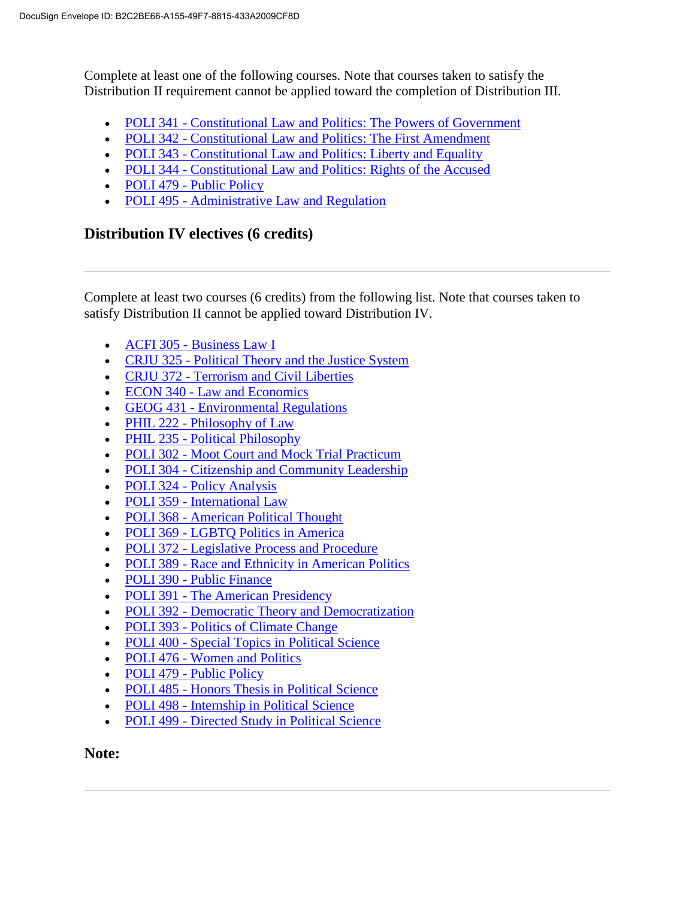Complete at least one of the following courses. Note that courses taken to satisfy the Distribution II requirement cannot be applied toward the completion of Distribution III.

- POLI 341 [Constitutional Law and Politics: The Powers of Government](https://catalog.bridgew.edu/preview_program.php?catoid=14&poid=4957)
- POLI 342 [Constitutional Law and Politics: The First Amendment](https://catalog.bridgew.edu/preview_program.php?catoid=14&poid=4957)
- POLI 343 [Constitutional Law and Politics: Liberty and Equality](https://catalog.bridgew.edu/preview_program.php?catoid=14&poid=4957)
- POLI 344 [Constitutional Law and Politics: Rights of the Accused](https://catalog.bridgew.edu/preview_program.php?catoid=14&poid=4957)
- POLI 479 [Public Policy](https://catalog.bridgew.edu/preview_program.php?catoid=14&poid=4957)
- POLI 495 [Administrative Law and Regulation](https://catalog.bridgew.edu/preview_program.php?catoid=14&poid=4957)

# **Distribution IV electives (6 credits)**

Complete at least two courses (6 credits) from the following list. Note that courses taken to satisfy Distribution II cannot be applied toward Distribution IV.

- ACFI 305 [Business Law I](https://catalog.bridgew.edu/preview_program.php?catoid=14&poid=4957)
- CRJU 325 [Political Theory and the Justice System](https://catalog.bridgew.edu/preview_program.php?catoid=14&poid=4957)
- CRJU 372 [Terrorism and Civil Liberties](https://catalog.bridgew.edu/preview_program.php?catoid=14&poid=4957)
- ECON 340 [Law and Economics](https://catalog.bridgew.edu/preview_program.php?catoid=14&poid=4957)
- GEOG 431 [Environmental Regulations](https://catalog.bridgew.edu/preview_program.php?catoid=14&poid=4957)
- PHIL 222 [Philosophy of Law](https://catalog.bridgew.edu/preview_program.php?catoid=14&poid=4957)
- PHIL 235 [Political Philosophy](https://catalog.bridgew.edu/preview_program.php?catoid=14&poid=4957)
- POLI 302 [Moot Court and Mock Trial Practicum](https://catalog.bridgew.edu/preview_program.php?catoid=14&poid=4957)
- POLI 304 [Citizenship and Community Leadership](https://catalog.bridgew.edu/preview_program.php?catoid=14&poid=4957)
- POLI 324 [Policy Analysis](https://catalog.bridgew.edu/preview_program.php?catoid=14&poid=4957)
- POLI 359 [International Law](https://catalog.bridgew.edu/preview_program.php?catoid=14&poid=4957)
- POLI 368 [American Political Thought](https://catalog.bridgew.edu/preview_program.php?catoid=14&poid=4957)
- POLI 369 [LGBTQ Politics in America](https://catalog.bridgew.edu/preview_program.php?catoid=14&poid=4957)
- POLI 372 [Legislative Process and Procedure](https://catalog.bridgew.edu/preview_program.php?catoid=14&poid=4957)
- POLI 389 [Race and Ethnicity in American Politics](https://catalog.bridgew.edu/preview_program.php?catoid=14&poid=4957)
- POLI 390 [Public Finance](https://catalog.bridgew.edu/preview_program.php?catoid=14&poid=4957)
- POLI 391 [The American Presidency](https://catalog.bridgew.edu/preview_program.php?catoid=14&poid=4957)
- POLI 392 [Democratic Theory and Democratization](https://catalog.bridgew.edu/preview_program.php?catoid=14&poid=4957)
- POLI 393 [Politics of Climate Change](https://catalog.bridgew.edu/preview_program.php?catoid=14&poid=4957)
- POLI 400 [Special Topics in Political Science](https://catalog.bridgew.edu/preview_program.php?catoid=14&poid=4957)
- POLI 476 [Women and Politics](https://catalog.bridgew.edu/preview_program.php?catoid=14&poid=4957)
- POLI 479 [Public Policy](https://catalog.bridgew.edu/preview_program.php?catoid=14&poid=4957)
- POLI 485 [Honors Thesis in Political Science](https://catalog.bridgew.edu/preview_program.php?catoid=14&poid=4957)
- POLI 498 [Internship in Political Science](https://catalog.bridgew.edu/preview_program.php?catoid=14&poid=4957)
- POLI 499 [Directed Study in Political Science](https://catalog.bridgew.edu/preview_program.php?catoid=14&poid=4957)

# **Note:**